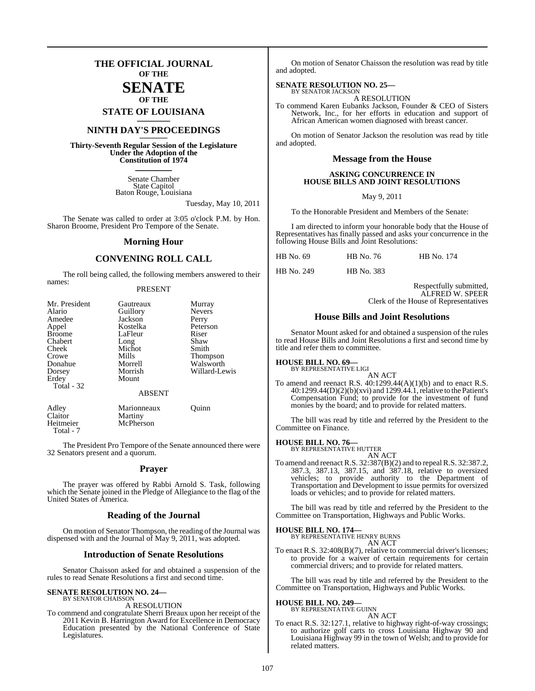## **THE OFFICIAL JOURNAL OF THE**

#### **SENATE OF THE**

**STATE OF LOUISIANA \_\_\_\_\_\_\_**

## **NINTH DAY'S PROCEEDINGS \_\_\_\_\_\_\_**

**Thirty-Seventh Regular Session of the Legislature Under the Adoption of the Constitution of 1974 \_\_\_\_\_\_\_**

> Senate Chamber State Capitol Baton Rouge, Louisiana

> > Tuesday, May 10, 2011

The Senate was called to order at 3:05 o'clock P.M. by Hon. Sharon Broome, President Pro Tempore of the Senate.

#### **Morning Hour**

#### **CONVENING ROLL CALL**

The roll being called, the following members answered to their names:

#### PRESENT

| Mr. President<br>Alario<br>Amedee<br>Appel<br><b>Broome</b><br>Chabert<br>Cheek<br>Crowe<br>Donahue<br>Dorsey<br>Erdey<br>Total - 32 | Gautreaux<br>Guillory<br>Jackson<br>Kostelka<br>LaFleur<br>Long<br>Michot<br>Mills<br>Morrell<br>Morrish<br>Mount | Murray<br><b>Nevers</b><br>Perry<br>Peterson<br>Riser<br>Shaw<br>Smith<br>Thompson<br>Walsworth<br>Willard-Lewis |
|--------------------------------------------------------------------------------------------------------------------------------------|-------------------------------------------------------------------------------------------------------------------|------------------------------------------------------------------------------------------------------------------|
|                                                                                                                                      | <b>ABSENT</b>                                                                                                     |                                                                                                                  |
| Adley<br>Claitor<br>Heitmeier                                                                                                        | Marionneaux<br>Martiny<br>McPherson                                                                               | Ouinn                                                                                                            |

Total - 7

The President Pro Tempore of the Senate announced there were 32 Senators present and a quorum.

#### **Prayer**

The prayer was offered by Rabbi Arnold S. Task, following which the Senate joined in the Pledge of Allegiance to the flag of the United States of America.

#### **Reading of the Journal**

On motion of Senator Thompson, the reading of the Journal was dispensed with and the Journal of May 9, 2011, was adopted.

#### **Introduction of Senate Resolutions**

Senator Chaisson asked for and obtained a suspension of the rules to read Senate Resolutions a first and second time.

## **SENATE RESOLUTION NO. 24—** BY SENATOR CHAISSON

#### A RESOLUTION

To commend and congratulate Sherri Breaux upon her receipt of the 2011 Kevin B. Harrington Award for Excellence in Democracy Education presented by the National Conference of State Legislatures.

On motion of Senator Chaisson the resolution was read by title and adopted.

#### **SENATE RESOLUTION NO. 25—**

BY SENATOR JACKSON A RESOLUTION

To commend Karen Eubanks Jackson, Founder & CEO of Sisters Network, Inc., for her efforts in education and support of African American women diagnosed with breast cancer.

On motion of Senator Jackson the resolution was read by title and adopted.

#### **Message from the House**

#### **ASKING CONCURRENCE IN HOUSE BILLS AND JOINT RESOLUTIONS**

#### May 9, 2011

To the Honorable President and Members of the Senate:

I am directed to inform your honorable body that the House of Representatives has finally passed and asks your concurrence in the following House Bills and Joint Resolutions:

| HB No. 69 | HB No. 76 | HB No. 174 |
|-----------|-----------|------------|
|-----------|-----------|------------|

HB No. 249 HB No. 383

Respectfully submitted, ALFRED W. SPEER Clerk of the House of Representatives

#### **House Bills and Joint Resolutions**

Senator Mount asked for and obtained a suspension of the rules to read House Bills and Joint Resolutions a first and second time by title and refer them to committee.

#### **HOUSE BILL NO. 69—**

BY REPRESENTATIVE LIGI AN ACT

To amend and reenact R.S.  $40.1299.44(A)(1)(b)$  and to enact R.S.  $40:1299.44(D)(2)(b)(xvi)$  and  $1299.44.1$ , relative to the Patient's Compensation Fund; to provide for the investment of fund monies by the board; and to provide for related matters.

The bill was read by title and referred by the President to the Committee on Finance.

#### **HOUSE BILL NO. 76—**

BY REPRESENTATIVE HUTTER AN ACT

To amend and reenact R.S. 32:387(B)(2) and to repealR.S. 32:387.2, 387.3, 387.13, 387.15, and 387.18, relative to oversized vehicles; to provide authority to the Department of Transportation and Development to issue permits for oversized loads or vehicles; and to provide for related matters.

The bill was read by title and referred by the President to the Committee on Transportation, Highways and Public Works.

#### **HOUSE BILL NO. 174—** BY REPRESENTATIVE HENRY BURNS

AN ACT

To enact R.S. 32:408(B)(7), relative to commercial driver's licenses; to provide for a waiver of certain requirements for certain commercial drivers; and to provide for related matters.

The bill was read by title and referred by the President to the Committee on Transportation, Highways and Public Works.

## **HOUSE BILL NO. 249—** BY REPRESENTATIVE GUINN

AN ACT

To enact R.S. 32:127.1, relative to highway right-of-way crossings; to authorize golf carts to cross Louisiana Highway 90 and Louisiana Highway 99 in the town of Welsh; and to provide for related matters.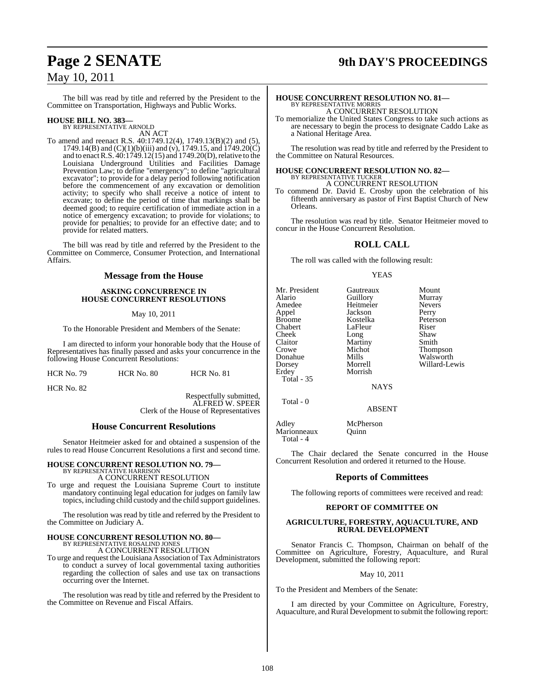## **Page 2 SENATE 9th DAY'S PROCEEDINGS**

The bill was read by title and referred by the President to the Committee on Transportation, Highways and Public Works.

## **HOUSE BILL NO. 383—** BY REPRESENTATIVE ARNOLD

AN ACT

To amend and reenact R.S. 40:1749.12(4), 1749.13(B)(2) and (5), 1749.14(B) and  $(C)(1)(b)(iii)$  and  $(v)$ , 1749.15, and 1749.20 $\overrightarrow{C}$ and to enact R.S. 40:1749.12(15) and 1749.20(D), relative to the Louisiana Underground Utilities and Facilities Damage Prevention Law; to define "emergency"; to define "agricultural excavator"; to provide for a delay period following notification before the commencement of any excavation or demolition activity; to specify who shall receive a notice of intent to excavate; to define the period of time that markings shall be deemed good; to require certification of immediate action in a notice of emergency excavation; to provide for violations; to provide for penalties; to provide for an effective date; and to provide for related matters.

The bill was read by title and referred by the President to the Committee on Commerce, Consumer Protection, and International **Affairs** 

#### **Message from the House**

#### **ASKING CONCURRENCE IN HOUSE CONCURRENT RESOLUTIONS**

May 10, 2011

To the Honorable President and Members of the Senate:

I am directed to inform your honorable body that the House of Representatives has finally passed and asks your concurrence in the following House Concurrent Resolutions:

HCR No. 79 HCR No. 80 HCR No. 81

HCR No. 82

Respectfully submitted, ALFRED W. SPEER Clerk of the House of Representatives

#### **House Concurrent Resolutions**

Senator Heitmeier asked for and obtained a suspension of the rules to read House Concurrent Resolutions a first and second time.

### **HOUSE CONCURRENT RESOLUTION NO. 79—**

BY REPRESENTATIVE HARRISON A CONCURRENT RESOLUTION

To urge and request the Louisiana Supreme Court to institute mandatory continuing legal education for judges on family law topics, including child custody and the child support guidelines.

The resolution was read by title and referred by the President to the Committee on Judiciary A.

# **HOUSE CONCURRENT RESOLUTION NO. 80—** BY REPRESENTATIVE ROSALIND JONES

A CONCURRENT RESOLUTION

To urge and request the Louisiana Association of Tax Administrators to conduct a survey of local governmental taxing authorities regarding the collection of sales and use tax on transactions occurring over the Internet.

The resolution was read by title and referred by the President to the Committee on Revenue and Fiscal Affairs.

## **HOUSE CONCURRENT RESOLUTION NO. 81—** BY REPRESENTATIVE MORRIS A CONCURRENT RESOLUTION

To memorialize the United States Congress to take such actions as are necessary to begin the process to designate Caddo Lake as a National Heritage Area.

The resolution was read by title and referred by the President to the Committee on Natural Resources.

## **HOUSE CONCURRENT RESOLUTION NO. 82—** BY REPRESENTATIVE TUCKER A CONCURRENT RESOLUTION

To commend Dr. David E. Crosby upon the celebration of his fifteenth anniversary as pastor of First Baptist Church of New Orleans.

The resolution was read by title. Senator Heitmeier moved to concur in the House Concurrent Resolution.

#### **ROLL CALL**

The roll was called with the following result:

Jackson<br>Kostelka

Martiny<br>Michot

Morrish

#### YEAS

| Mr. President     |  |
|-------------------|--|
| Alario            |  |
| Amedee            |  |
| Appel             |  |
| <b>Broome</b>     |  |
| Chabert           |  |
| Cheek             |  |
| Claitor           |  |
| Crowe             |  |
| Donahue           |  |
| Dorsey            |  |
| Erdey             |  |
| <b>Total - 35</b> |  |

Total - 0

Gautreaux Mount<br>
Guillory Murray Aussum Guillory<br>
Heitmeier Mevers Heitmeier Never<br>
Jackson Perry Peterson<br>Riser LaFleur Riser<br>Long Shaw Long<br>
Martiny Shaw<br>
Smith Michot Thompson<br>Mills Walsworth Mills Walsworth<br>
Morrell Willard-Lev Willard-Lewis

**NAYS** 

ABSENT

| Adley       | McPherson |
|-------------|-----------|
| Marionneaux | Ouinn     |
| Total - 4   |           |

The Chair declared the Senate concurred in the House Concurrent Resolution and ordered it returned to the House.

#### **Reports of Committees**

The following reports of committees were received and read:

#### **REPORT OF COMMITTEE ON**

#### **AGRICULTURE, FORESTRY, AQUACULTURE, AND RURAL DEVELOPMENT**

Senator Francis C. Thompson, Chairman on behalf of the Committee on Agriculture, Forestry, Aquaculture, and Rural Development, submitted the following report:

May 10, 2011

To the President and Members of the Senate:

I am directed by your Committee on Agriculture, Forestry, Aquaculture, and Rural Development to submit the following report: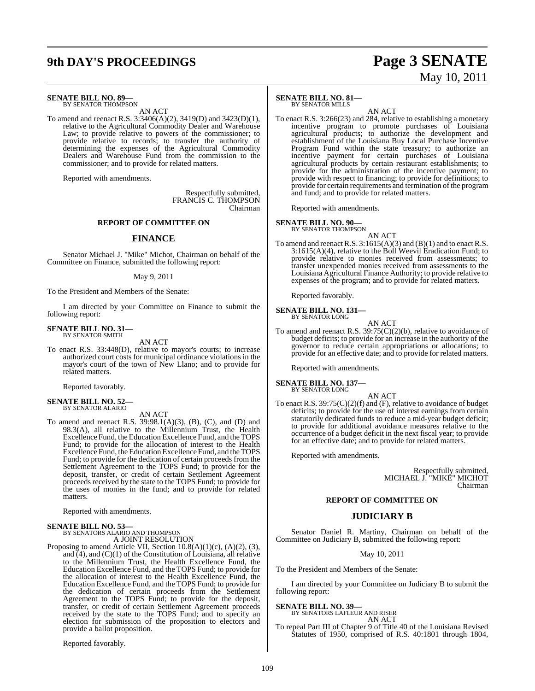# **9th DAY'S PROCEEDINGS Page 3 SENATE**

# May 10, 2011

**SENATE BILL NO. 89—**

BY SENATOR THOMPSON AN ACT

To amend and reenact R.S. 3:3406(A)(2), 3419(D) and 3423(D)(1), relative to the Agricultural Commodity Dealer and Warehouse Law; to provide relative to powers of the commissioner; to provide relative to records; to transfer the authority of determining the expenses of the Agricultural Commodity Dealers and Warehouse Fund from the commission to the commissioner; and to provide for related matters.

Reported with amendments.

Respectfully submitted, FRANCIS C. THOMPSON Chairman

#### **REPORT OF COMMITTEE ON**

#### **FINANCE**

Senator Michael J. "Mike" Michot, Chairman on behalf of the Committee on Finance, submitted the following report:

#### May 9, 2011

To the President and Members of the Senate:

I am directed by your Committee on Finance to submit the following report:

#### **SENATE BILL NO. 31—** BY SENATOR SMITH

AN ACT

To enact R.S. 33:448(D), relative to mayor's courts; to increase authorized court costs for municipal ordinance violations in the mayor's court of the town of New Llano; and to provide for related matters.

Reported favorably.

## **SENATE BILL NO. 52—** BY SENATOR ALARIO

AN ACT To amend and reenact R.S. 39:98.1(A)(3), (B), (C), and (D) and 98.3(A), all relative to the Millennium Trust, the Health Excellence Fund, the Education Excellence Fund, and the TOPS Fund; to provide for the allocation of interest to the Health Excellence Fund, the Education Excellence Fund, and the TOPS Fund; to provide for the dedication of certain proceeds from the Settlement Agreement to the TOPS Fund; to provide for the deposit, transfer, or credit of certain Settlement Agreement proceeds received by the state to the TOPS Fund; to provide for the uses of monies in the fund; and to provide for related matters.

Reported with amendments.

## **SENATE BILL NO. 53—** BY SENATORS ALARIO AND THOMPSON

A JOINT RESOLUTION

Proposing to amend Article VII, Section 10.8(A)(1)(c), (A)(2), (3), and  $(4)$ , and  $(C)(1)$  of the Constitution of Louisiana, all relative to the Millennium Trust, the Health Excellence Fund, the Education Excellence Fund, and the TOPS Fund; to provide for the allocation of interest to the Health Excellence Fund, the Education Excellence Fund, and the TOPS Fund; to provide for the dedication of certain proceeds from the Settlement Agreement to the TOPS Fund; to provide for the deposit, transfer, or credit of certain Settlement Agreement proceeds received by the state to the TOPS Fund; and to specify an election for submission of the proposition to electors and provide a ballot proposition.

Reported favorably.

#### **SENATE BILL NO. 81—** BY SENATOR MILLS

AN ACT To enact R.S. 3:266(23) and 284, relative to establishing a monetary incentive program to promote purchases of Louisiana agricultural products; to authorize the development and establishment of the Louisiana Buy Local Purchase Incentive Program Fund within the state treasury; to authorize an incentive payment for certain purchases of Louisiana agricultural products by certain restaurant establishments; to provide for the administration of the incentive payment; to provide with respect to financing; to provide for definitions; to provide for certain requirements and termination of the program and fund; and to provide for related matters.

Reported with amendments.

## **SENATE BILL NO. 90—**<br>BY SENATOR THOMPSON

AN ACT

To amend and reenact R.S.  $3:1615(A)(3)$  and (B)(1) and to enact R.S. 3:1615(A)(4), relative to the Boll Weevil Eradication Fund; to provide relative to monies received from assessments; to transfer unexpended monies received from assessments to the Louisiana Agricultural Finance Authority; to provide relative to expenses of the program; and to provide for related matters.

Reported favorably.

#### **SENATE BILL NO. 131—** BY SENATOR LONG

AN ACT

To amend and reenact R.S. 39:75(C)(2)(b), relative to avoidance of budget deficits; to provide for an increase in the authority of the governor to reduce certain appropriations or allocations; to provide for an effective date; and to provide for related matters.

Reported with amendments.

## **SENATE BILL NO. 137—** BY SENATOR LONG

AN ACT To enact R.S. 39:75(C)(2)(f) and (F), relative to avoidance of budget deficits; to provide for the use of interest earnings from certain statutorily dedicated funds to reduce a mid-year budget deficit; to provide for additional avoidance measures relative to the occurrence of a budget deficit in the next fiscal year; to provide for an effective date; and to provide for related matters.

Reported with amendments.

Respectfully submitted, MICHAEL J. "MIKE" MICHOT Chairman

#### **REPORT OF COMMITTEE ON**

#### **JUDICIARY B**

Senator Daniel R. Martiny, Chairman on behalf of the Committee on Judiciary B, submitted the following report:

May 10, 2011

To the President and Members of the Senate:

I am directed by your Committee on Judiciary B to submit the following report:

**SENATE BILL NO. 39—**

BY SENATORS LAFLEUR AND RISER AN ACT

To repeal Part III of Chapter 9 of Title 40 of the Louisiana Revised Statutes of 1950, comprised of R.S. 40:1801 through 1804,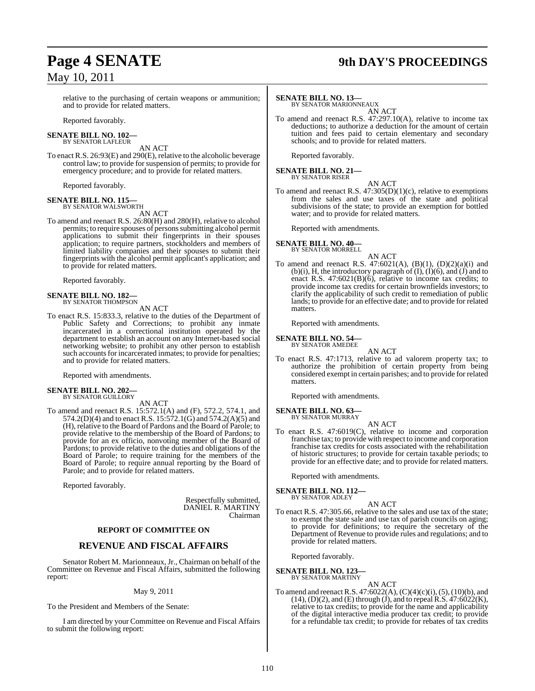## **Page 4 SENATE 9th DAY'S PROCEEDINGS**

relative to the purchasing of certain weapons or ammunition; and to provide for related matters.

Reported favorably.

#### **SENATE BILL NO. 102—** BY SENATOR LAFLEUR

AN ACT

To enact R.S. 26:93(E) and 290(E), relative to the alcoholic beverage control law; to provide for suspension of permits; to provide for emergency procedure; and to provide for related matters.

Reported favorably.

#### **SENATE BILL NO. 115—** BY SENATOR WALSWORTH

AN ACT

To amend and reenact R.S. 26:80(H) and 280(H), relative to alcohol permits; to require spouses of persons submitting alcohol permit applications to submit their fingerprints in their spouses application; to require partners, stockholders and members of limited liability companies and their spouses to submit their fingerprints with the alcohol permit applicant's application; and to provide for related matters.

Reported favorably.

## **SENATE BILL NO. 182—** BY SENATOR THOMPSON

AN ACT

To enact R.S. 15:833.3, relative to the duties of the Department of Public Safety and Corrections; to prohibit any inmate incarcerated in a correctional institution operated by the department to establish an account on any Internet-based social networking website; to prohibit any other person to establish such accounts for incarcerated inmates; to provide for penalties; and to provide for related matters.

Reported with amendments.

## **SENATE BILL NO. 202—** BY SENATOR GUILLORY

AN ACT

To amend and reenact R.S. 15:572.1(A) and (F), 572.2, 574.1, and 574.2(D)(4) and to enact R.S. 15:572.1(G) and 574.2(A)(5) and (H), relative to the Board of Pardons and the Board of Parole; to provide relative to the membership of the Board of Pardons; to provide for an ex officio, nonvoting member of the Board of Pardons; to provide relative to the duties and obligations of the Board of Parole; to require training for the members of the Board of Parole; to require annual reporting by the Board of Parole; and to provide for related matters.

Reported favorably.

Respectfully submitted, DANIEL R. MARTINY Chairman

#### **REPORT OF COMMITTEE ON**

#### **REVENUE AND FISCAL AFFAIRS**

Senator Robert M. Marionneaux, Jr., Chairman on behalf of the Committee on Revenue and Fiscal Affairs, submitted the following report:

#### May 9, 2011

To the President and Members of the Senate:

I am directed by your Committee on Revenue and Fiscal Affairs to submit the following report:

#### **SENATE BILL NO. 13—**

BY SENATOR MARIONNEAUX AN ACT

To amend and reenact R.S. 47:297.10(A), relative to income tax deductions; to authorize a deduction for the amount of certain tuition and fees paid to certain elementary and secondary schools; and to provide for related matters.

Reported favorably.

#### **SENATE BILL NO. 21—** BY SENATOR RISER

AN ACT

To amend and reenact R.S. 47:305(D)(1)(c), relative to exemptions from the sales and use taxes of the state and political subdivisions of the state; to provide an exemption for bottled water; and to provide for related matters.

Reported with amendments.

#### **SENATE BILL NO. 40—** BY SENATOR MORRELL

AN ACT

To amend and reenact R.S.  $47:6021(A)$ ,  $(B)(1)$ ,  $(D)(2)(a)(i)$  and (b)(i), H, the introductory paragraph of  $(I)$ ,  $(I)(6)$ , and  $(I)$  and to enact R.S. 47:6021(B)(6), relative to income tax credits; to provide income tax credits for certain brownfields investors; to clarify the applicability of such credit to remediation of public lands; to provide for an effective date; and to provide for related matters.

Reported with amendments.

#### **SENATE BILL NO. 54—** BY SENATOR AMEDEE

AN ACT

To enact R.S. 47:1713, relative to ad valorem property tax; to authorize the prohibition of certain property from being considered exempt in certain parishes; and to provide for related matters.

Reported with amendments.

#### **SENATE BILL NO. 63—**

BY SENATOR MURRAY

AN ACT To enact R.S. 47:6019(C), relative to income and corporation franchise tax; to provide with respect to income and corporation franchise tax credits for costs associated with the rehabilitation of historic structures; to provide for certain taxable periods; to provide for an effective date; and to provide for related matters.

Reported with amendments.

#### **SENATE BILL NO. 112—** BY SENATOR ADLEY

AN ACT

To enact R.S. 47:305.66, relative to the sales and use tax of the state; to exempt the state sale and use tax of parish councils on aging; to provide for definitions; to require the secretary of the Department of Revenue to provide rules and regulations; and to provide for related matters.

Reported favorably.

#### **SENATE BILL NO. 123—**

- BY SENATOR MARTINY
- AN ACT To amend and reenact R.S. 47:6022(A),  $(C)(4)(c)(i)$ ,  $(5)$ ,  $(10)(b)$ , and  $(14)$ ,  $(D)(2)$ , and  $(E)$  through  $(J)$ , and to repeal R.S.  $47:6022(K)$ , relative to tax credits; to provide for the name and applicability of the digital interactive media producer tax credit; to provide for a refundable tax credit; to provide for rebates of tax credits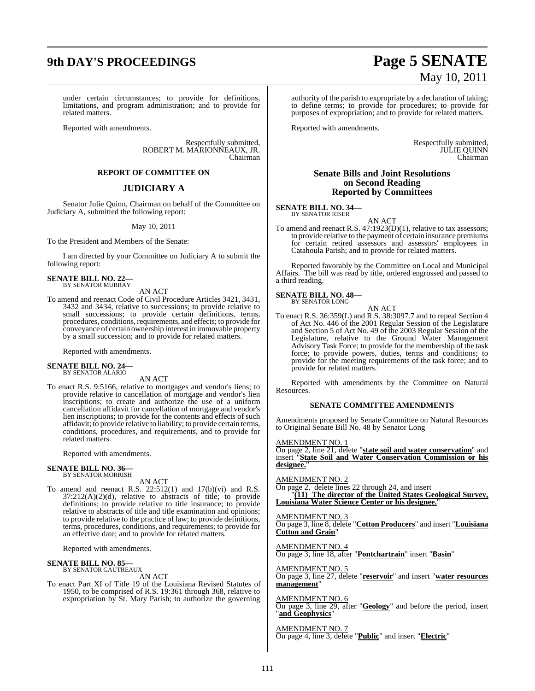# **9th DAY'S PROCEEDINGS Page 5 SENATE**

under certain circumstances; to provide for definitions, limitations, and program administration; and to provide for related matters.

Reported with amendments.

Respectfully submitted, ROBERT M. MARIONNEAUX, JR. Chairman

#### **REPORT OF COMMITTEE ON**

#### **JUDICIARY A**

Senator Julie Quinn, Chairman on behalf of the Committee on Judiciary A, submitted the following report:

#### May 10, 2011

To the President and Members of the Senate:

I am directed by your Committee on Judiciary A to submit the following report:

**SENATE BILL NO. 22—** BY SENATOR MURRAY

AN ACT

To amend and reenact Code of Civil Procedure Articles 3421, 3431, 3432 and 3434, relative to successions; to provide relative to small successions; to provide certain definitions, terms, procedures, conditions, requirements, and effects; to provide for conveyance of certain ownership interest in immovable property by a small succession; and to provide for related matters.

Reported with amendments.

#### **SENATE BILL NO. 24—** BY SENATOR ALARIO

AN ACT

To enact R.S. 9:5166, relative to mortgages and vendor's liens; to provide relative to cancellation of mortgage and vendor's lien inscriptions; to create and authorize the use of a uniform cancellation affidavit for cancellation of mortgage and vendor's lien inscriptions; to provide for the contents and effects of such affidavit; to provide relative to liability; to provide certain terms, conditions, procedures, and requirements, and to provide for related matters.

Reported with amendments.

## **SENATE BILL NO. 36—** BY SENATOR MORRISH

AN ACT

To amend and reenact R.S. 22:512(1) and 17(b)(vi) and R.S. 37:212(A)(2)(d), relative to abstracts of title; to provide definitions; to provide relative to title insurance; to provide relative to abstracts of title and title examination and opinions; to provide relative to the practice of law; to provide definitions, terms, procedures, conditions, and requirements; to provide for an effective date; and to provide for related matters.

Reported with amendments.

#### **SENATE BILL NO. 85—**

BY SENATOR GAUTREAUX AN ACT

To enact Part XI of Title 19 of the Louisiana Revised Statutes of 1950, to be comprised of R.S. 19:361 through 368, relative to expropriation by St. Mary Parish; to authorize the governing

# May 10, 2011

authority of the parish to expropriate by a declaration of taking; to define terms; to provide for procedures; to provide for purposes of expropriation; and to provide for related matters.

Reported with amendments.

Respectfully submitted, JULIE QUINN Chairman

#### **Senate Bills and Joint Resolutions on Second Reading Reported by Committees**

**SENATE BILL NO. 34—** BY SENATOR RISER

AN ACT

To amend and reenact R.S. 47:1923(D)(1), relative to tax assessors; to provide relative to the payment of certain insurance premiums for certain retired assessors and assessors' employees in Catahoula Parish; and to provide for related matters.

Reported favorably by the Committee on Local and Municipal Affairs. The bill was read by title, ordered engrossed and passed to a third reading.

#### **SENATE BILL NO. 48—**

BY SENATOR LONG

AN ACT To enact R.S. 36:359(L) and R.S. 38:3097.7 and to repeal Section 4 of Act No. 446 of the 2001 Regular Session of the Legislature and Section 5 of Act No. 49 of the 2003 Regular Session of the Legislature, relative to the Ground Water Management Advisory Task Force; to provide for the membership of the task force; to provide powers, duties, terms and conditions; to provide for the meeting requirements of the task force; and to provide for related matters.

Reported with amendments by the Committee on Natural Resources.

#### **SENATE COMMITTEE AMENDMENTS**

Amendments proposed by Senate Committee on Natural Resources to Original Senate Bill No. 48 by Senator Long

AMENDMENT NO.

On page 2, line 21, delete "**state soil and water conservation**" and insert "**State Soil and Water Conservation Commission or his** designee.

#### AMENDMENT NO. 2

On page 2, delete lines 22 through 24, and insert "**(11) The director of the United States Geological Survey, Louisiana Water Science Center or his designee.**"

AMENDMENT NO. 3 On page 3, line 8, delete "**Cotton Producers**" and insert "**Louisiana Cotton and Grain**"

AMENDMENT NO. 4 On page 3, line 18, after "**Pontchartrain**" insert "**Basin**"

AMENDMENT NO. 5

On page 3, line 27, delete "**reservoir**" and insert "**water resources management**"

#### AMENDMENT NO. 6

On page 3, line 29, after "**Geology**" and before the period, insert "**and Geophysics**"

AMENDMENT NO. 7

On page 4, line 3, delete "**Public**" and insert "**Electric**"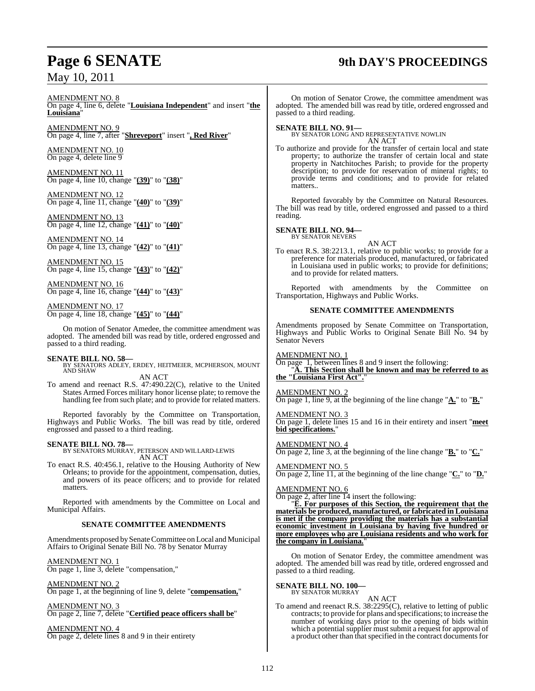## **Page 6 SENATE 9th DAY'S PROCEEDINGS**

AMENDMENT NO. 8

On page 4, line 6, delete "**Louisiana Independent**" and insert "**the Louisiana**"

AMENDMENT NO. 9 On page 4, line 7, after "**Shreveport**" insert "**, Red River**"

AMENDMENT NO. 10 On page 4, delete line 9

AMENDMENT NO. 11 On page 4, line 10, change "**(39)**" to "**(38)**"

AMENDMENT NO. 12 On page 4, line 11, change "**(40)**" to "**(39)**"

AMENDMENT NO. 13 On page 4, line 12, change "**(41)**" to "**(40)**"

AMENDMENT NO. 14 On page 4, line 13, change "**(42)**" to "**(41)**"

AMENDMENT NO. 15 On page 4, line 15, change "**(43)**" to "**(42)**"

AMENDMENT NO. 16 On page 4, line 16, change "**(44)**" to "**(43)**"

AMENDMENT NO. 17 On page 4, line 18, change "**(45)**" to "**(44)**"

On motion of Senator Amedee, the committee amendment was adopted. The amended bill was read by title, ordered engrossed and passed to a third reading.

### **SENATE BILL NO. 58—**

BY SENATORS ADLEY, ERDEY, HEITMEIER, MCPHERSON, MOUNT AND SHAW

AN ACT

To amend and reenact R.S. 47:490.22(C), relative to the United States Armed Forces military honor license plate; to remove the handling fee from such plate; and to provide for related matters.

Reported favorably by the Committee on Transportation, Highways and Public Works. The bill was read by title, ordered engrossed and passed to a third reading.

#### **SENATE BILL NO. 78—**

BY SENATORS MURRAY, PETERSON AND WILLARD-LEWIS AN ACT

To enact R.S. 40:456.1, relative to the Housing Authority of New Orleans; to provide for the appointment, compensation, duties, and powers of its peace officers; and to provide for related matters.

Reported with amendments by the Committee on Local and Municipal Affairs.

#### **SENATE COMMITTEE AMENDMENTS**

Amendments proposed by Senate Committee on Local and Municipal Affairs to Original Senate Bill No. 78 by Senator Murray

AMENDMENT NO. 1

On page 1, line 3, delete "compensation,"

AMENDMENT NO. 2

On page 1, at the beginning of line 9, delete "**compensation,**"

AMENDMENT NO. 3 On page 2, line 7, delete "**Certified peace officers shall be**"

AMENDMENT NO. 4 On page 2, delete lines 8 and 9 in their entirety

On motion of Senator Crowe, the committee amendment was adopted. The amended bill was read by title, ordered engrossed and passed to a third reading.

**SENATE BILL NO. 91—** BY SENATOR LONG AND REPRESENTATIVE NOWLIN AN ACT

To authorize and provide for the transfer of certain local and state property; to authorize the transfer of certain local and state property in Natchitoches Parish; to provide for the property description; to provide for reservation of mineral rights; to provide terms and conditions; and to provide for related matters..

Reported favorably by the Committee on Natural Resources. The bill was read by title, ordered engrossed and passed to a third reading.

**SENATE BILL NO. 94—** BY SENATOR NEVERS

AN ACT

To enact R.S. 38:2213.1, relative to public works; to provide for a preference for materials produced, manufactured, or fabricated in Louisiana used in public works; to provide for definitions; and to provide for related matters.

Reported with amendments by the Committee on Transportation, Highways and Public Works.

#### **SENATE COMMITTEE AMENDMENTS**

Amendments proposed by Senate Committee on Transportation, Highways and Public Works to Original Senate Bill No. 94 by Senator Nevers

AMENDMENT NO. 1

On page 1, between lines 8 and 9 insert the following: "**A. This Section shall be known and may be referred to as** "Louisiana First Act".

AMENDMENT NO. 2 On page 1, line 9, at the beginning of the line change "**A.**" to "**B.**"

AMENDMENT NO. 3 On page 1, delete lines 15 and 16 in their entirety and insert "**meet bid specifications.**"

AMENDMENT NO. 4 On page 2, line 3, at the beginning of the line change "**B.**" to "**C.**"

AMENDMENT NO. 5 On page 2, line 11, at the beginning of the line change "**C.**" to "**D.**"

AMENDMENT NO. 6 On page 2, after line 14 insert the following:

"**E. For purposes of this Section, the requirement that the materials be produced, manufactured, or fabricated in Louisiana is met if the company providing the materials has a substantial economic investment in Louisiana by having five hundred or more employees who are Louisiana residents and who work for** the company in Louisiana.

On motion of Senator Erdey, the committee amendment was adopted. The amended bill was read by title, ordered engrossed and passed to a third reading.

**SENATE BILL NO. 100—** BY SENATOR MURRAY

AN ACT To amend and reenact R.S. 38:2295(C), relative to letting of public contracts; to provide for plans and specifications; to increase the number of working days prior to the opening of bids within which a potential supplier must submit a request for approval of a product other than that specified in the contract documents for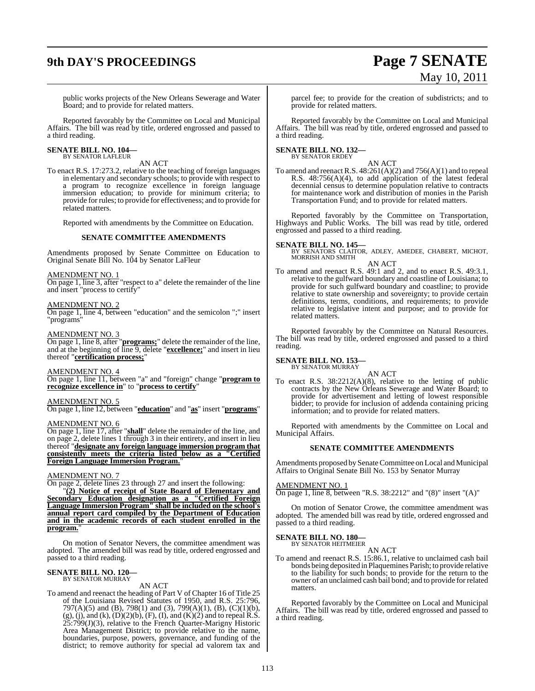# **9th DAY'S PROCEEDINGS Page 7 SENATE**

# May 10, 2011

public works projects of the New Orleans Sewerage and Water Board; and to provide for related matters.

Reported favorably by the Committee on Local and Municipal Affairs. The bill was read by title, ordered engrossed and passed to a third reading.

#### **SENATE BILL NO. 104—** BY SENATOR LAFLEUR

AN ACT

To enact R.S. 17:273.2, relative to the teaching of foreign languages in elementary and secondary schools; to provide with respect to a program to recognize excellence in foreign language immersion education; to provide for minimum criteria; to provide for rules; to provide for effectiveness; and to provide for related matters.

Reported with amendments by the Committee on Education.

#### **SENATE COMMITTEE AMENDMENTS**

Amendments proposed by Senate Committee on Education to Original Senate Bill No. 104 by Senator LaFleur

#### AMENDMENT NO. 1

On page 1, line 3, after "respect to a" delete the remainder of the line and insert "process to certify"

#### AMENDMENT NO. 2

On page 1, line 4, between "education" and the semicolon ";" insert "programs"

#### AMENDMENT NO. 3

On page 1, line 8, after "**programs;**" delete the remainder of the line, and at the beginning of line 9, delete "**excellence;**" and insert in lieu thereof "**certification process;**"

#### AMENDMENT NO. 4

On page 1, line 11, between "a" and "foreign" change "**program to recognize excellence in**" to "**process to certify**"

## AMENDMENT NO. 5

On page 1, line 12, between "**education**" and "**as**" insert "**programs**"

#### AMENDMENT NO. 6

On page 1, line 17, after "**shall**" delete the remainder of the line, and on page 2, delete lines 1 through 3 in their entirety, and insert in lieu thereof "**designate any foreign language immersion program that consistently meets the criteria listed below as a "Certified Foreign Language Immersion Program.**"

#### AMENDMENT NO. 7

On page 2, delete lines 23 through 27 and insert the following:

"**(2) Notice of receipt of State Board of Elementary and Secondary Education designation as a "Certified Foreign Language Immersion Program" shall be included on the school's annual report card compiled by the Department of Education and in the academic records of each student enrolled in the program.**"

On motion of Senator Nevers, the committee amendment was adopted. The amended bill was read by title, ordered engrossed and passed to a third reading.

## **SENATE BILL NO. 120—** BY SENATOR MURRAY

#### AN ACT

To amend and reenact the heading of Part V of Chapter 16 of Title 25 of the Louisiana Revised Statutes of 1950, and R.S. 25:796, 797(A)(5) and (B), 798(1) and (3), 799(A)(1), (B), (C)(1)(b),  $(g)$ , (j), and (k),  $(D)(2)(b)$ ,  $(F)$ , (I), and  $(K)(2)$  and to repeal R.S.  $25:799(J)(3)$ , relative to the French Quarter-Marigny Historic Area Management District; to provide relative to the name, boundaries, purpose, powers, governance, and funding of the district; to remove authority for special ad valorem tax and

parcel fee; to provide for the creation of subdistricts; and to provide for related matters.

Reported favorably by the Committee on Local and Municipal Affairs. The bill was read by title, ordered engrossed and passed to a third reading.

#### **SENATE BILL NO. 132—** BY SENATOR ERDEY

#### AN ACT

To amend and reenact R.S.  $48:261(A)(2)$  and  $756(A)(1)$  and to repeal R.S. 48:756(A)(4), to add application of the latest federal decennial census to determine population relative to contracts for maintenance work and distribution of monies in the Parish Transportation Fund; and to provide for related matters.

Reported favorably by the Committee on Transportation, Highways and Public Works. The bill was read by title, ordered engrossed and passed to a third reading.

**SENATE BILL NO. 145—**<br>BY SENATORS CLAITOR, ADLEY, AMEDEE, CHABERT, MICHOT, MORRISH AND SMITH

AN ACT

To amend and reenact R.S. 49:1 and 2, and to enact R.S. 49:3.1, relative to the gulfward boundary and coastline of Louisiana; to provide for such gulfward boundary and coastline; to provide relative to state ownership and sovereignty; to provide certain definitions, terms, conditions, and requirements; to provide relative to legislative intent and purpose; and to provide for related matters.

Reported favorably by the Committee on Natural Resources. The bill was read by title, ordered engrossed and passed to a third reading.

#### **SENATE BILL NO. 153—** BY SENATOR MURRAY

AN ACT

To enact R.S. 38:2212(A)(8), relative to the letting of public contracts by the New Orleans Sewerage and Water Board; to provide for advertisement and letting of lowest responsible bidder; to provide for inclusion of addenda containing pricing information; and to provide for related matters.

Reported with amendments by the Committee on Local and Municipal Affairs.

#### **SENATE COMMITTEE AMENDMENTS**

Amendments proposed by Senate Committee on Local and Municipal Affairs to Original Senate Bill No. 153 by Senator Murray

#### AMENDMENT NO. 1

On page 1, line 8, between "R.S. 38:2212" and "(8)" insert "(A)"

On motion of Senator Crowe, the committee amendment was adopted. The amended bill was read by title, ordered engrossed and passed to a third reading.

## **SENATE BILL NO. 180—** BY SENATOR HEITMEIER

AN ACT

To amend and reenact R.S. 15:86.1, relative to unclaimed cash bail bonds being deposited in Plaquemines Parish; to provide relative to the liability for such bonds; to provide for the return to the owner of an unclaimed cash bail bond; and to provide forrelated matters.

Reported favorably by the Committee on Local and Municipal Affairs. The bill was read by title, ordered engrossed and passed to a third reading.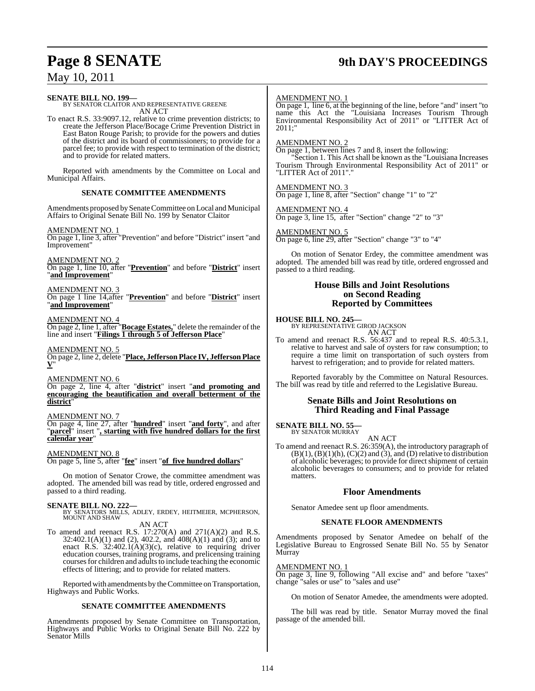## **Page 8 SENATE 9th DAY'S PROCEEDINGS**

May 10, 2011

#### **SENATE BILL NO. 199—**

BY SENATOR CLAITOR AND REPRESENTATIVE GREENE AN ACT

To enact R.S. 33:9097.12, relative to crime prevention districts; to create the Jefferson Place/Bocage Crime Prevention District in East Baton Rouge Parish; to provide for the powers and duties of the district and its board of commissioners; to provide for a parcel fee; to provide with respect to termination of the district; and to provide for related matters.

Reported with amendments by the Committee on Local and Municipal Affairs.

#### **SENATE COMMITTEE AMENDMENTS**

Amendments proposed by Senate Committee on Local and Municipal Affairs to Original Senate Bill No. 199 by Senator Claitor

AMENDMENT NO. 1

On page 1, line 3, after "Prevention" and before "District" insert "and Improvement"

AMENDMENT NO. 2 On page 1, line 10, after "**Prevention**" and before "**District**" insert "**and Improvement**"

#### AMENDMENT NO. 3

On page 1 line 14,after "**Prevention**" and before "**District**" insert "**and Improvement**"

#### AMENDMENT NO. 4

On page 2, line 1, after "**Bocage Estates,**" delete the remainder of the line and insert "**Filings 1 through 5 of Jefferson Place**"

#### AMENDMENT NO. 5

On page 2, line 2, delete "**Place, Jefferson Place IV, Jefferson Place V**"

AMENDMENT NO. 6

On page 2, line 4, after "**district**" insert "**and promoting and encouraging the beautification and overall betterment of the district**"

AMENDMENT NO. 7

On page 4, line 27, after "**hundred**" insert "**and forty**", and after "**parcel**" insert "**, starting with five hundred dollars for the first calendar year**"

#### AMENDMENT NO. 8

On page 5, line 5, after "**fee**" insert "**of five hundred dollars**"

On motion of Senator Crowe, the committee amendment was adopted. The amended bill was read by title, ordered engrossed and passed to a third reading.

**SENATE BILL NO. 222—**<br>BY SENATORS MILLS, ADLEY, ERDEY, HEITMEIER, MCPHERSON,<br>MOUNT AND SHAW AN ACT

To amend and reenact R.S. 17:270(A) and 271(A)(2) and R.S.  $32:402.1(A)(1)$  and (2), 402.2, and 408(A)(1) and (3); and to enact R.S.  $32:402.1(A)(3)(c)$ , relative to requiring driver education courses, training programs, and prelicensing training courses for children and adults to include teaching the economic effects of littering; and to provide for related matters.

Reported with amendments by the Committee on Transportation, Highways and Public Works.

#### **SENATE COMMITTEE AMENDMENTS**

Amendments proposed by Senate Committee on Transportation, Highways and Public Works to Original Senate Bill No. 222 by Senator Mills

#### AMENDMENT NO. 1

On page 1, line 6, at the beginning of the line, before "and" insert "to name this Act the "Louisiana Increases Tourism Through Environmental Responsibility Act of 2011" or "LITTER Act of 2011;"

#### AMENDMENT NO. 2

On page 1, between lines 7 and 8, insert the following:

"Section 1. This Act shall be known as the "Louisiana Increases Tourism Through Environmental Responsibility Act of 2011" or "LITTER Act of 2011"."

#### AMENDMENT NO. 3

On page 1, line 8, after "Section" change "1" to "2"

#### AMENDMENT NO. 4

On page 3, line 15, after "Section" change "2" to "3"

## AMENDMENT NO. 5

On page 6, line 29, after "Section" change "3" to "4"

On motion of Senator Erdey, the committee amendment was adopted. The amended bill was read by title, ordered engrossed and passed to a third reading.

#### **House Bills and Joint Resolutions on Second Reading Reported by Committees**

**HOUSE BILL NO. 245—**

BY REPRESENTATIVE GIROD JACKSON AN ACT

To amend and reenact R.S. 56:437 and to repeal R.S. 40:5.3.1, relative to harvest and sale of oysters for raw consumption; to require a time limit on transportation of such oysters from harvest to refrigeration; and to provide for related matters.

Reported favorably by the Committee on Natural Resources. The bill was read by title and referred to the Legislative Bureau.

#### **Senate Bills and Joint Resolutions on Third Reading and Final Passage**

#### **SENATE BILL NO. 55** BY SENATOR MURRAY

AN ACT

To amend and reenact R.S. 26:359(A), the introductory paragraph of  $(B)(1)$ ,  $(B)(1)(h)$ ,  $(C)(2)$  and  $(3)$ , and  $(D)$  relative to distribution of alcoholic beverages; to provide for direct shipment of certain alcoholic beverages to consumers; and to provide for related matters.

#### **Floor Amendments**

Senator Amedee sent up floor amendments.

#### **SENATE FLOOR AMENDMENTS**

Amendments proposed by Senator Amedee on behalf of the Legislative Bureau to Engrossed Senate Bill No. 55 by Senator Murray

#### AMENDMENT NO. 1

On page 3, line 9, following "All excise and" and before "taxes" change "sales or use" to "sales and use"

On motion of Senator Amedee, the amendments were adopted.

The bill was read by title. Senator Murray moved the final passage of the amended bill.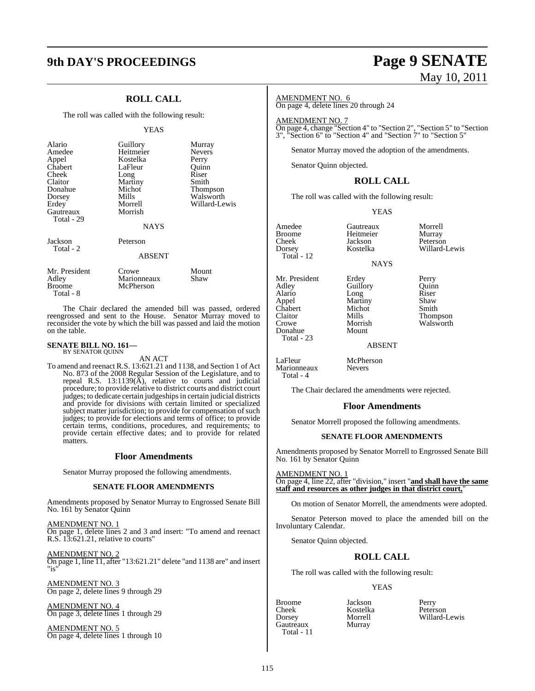## **9th DAY'S PROCEEDINGS Page 9 SENATE**

## **ROLL CALL**

The roll was called with the following result:

#### YEAS

| Alario<br>Amedee<br>Appel<br>Chabert<br>Cheek<br>Claitor<br>Donahue<br>Dorsey<br>Erdey<br>Gautreaux<br>Total - 29 | Guillory<br>Heitmeier<br>Kostelka<br>LaFleur<br>Long<br>Martiny<br>Michot<br>Mills<br>Morrell<br>Morrish<br><b>NAYS</b> | Murray<br><b>Nevers</b><br>Perry<br>Ouinn<br>Riser<br>Smith<br>Thompson<br>Walsworth<br>Willard-Lewis |
|-------------------------------------------------------------------------------------------------------------------|-------------------------------------------------------------------------------------------------------------------------|-------------------------------------------------------------------------------------------------------|
| Jackson<br>Total - 2                                                                                              | Peterson<br><b>ABSENT</b>                                                                                               |                                                                                                       |
| Mr. President<br>Adley<br>Broome                                                                                  | Crowe<br>Marionneaux<br>McPherson                                                                                       | Mount<br>Shaw                                                                                         |

The Chair declared the amended bill was passed, ordered reengrossed and sent to the House. Senator Murray moved to reconsider the vote by which the bill was passed and laid the motion on the table.

## **SENATE BILL NO. 161—** BY SENATOR QUINN

Total - 8

AN ACT

McPherson

To amend and reenact R.S. 13:621.21 and 1138, and Section 1 of Act No. 873 of the 2008 Regular Session of the Legislature, and to repeal R.S. 13:1139(A), relative to courts and judicial procedure; to provide relative to district courts and district court judges; to dedicate certain judgeships in certain judicial districts and provide for divisions with certain limited or specialized subject matter jurisdiction; to provide for compensation of such judges; to provide for elections and terms of office; to provide certain terms, conditions, procedures, and requirements; to provide certain effective dates; and to provide for related matters.

#### **Floor Amendments**

Senator Murray proposed the following amendments.

#### **SENATE FLOOR AMENDMENTS**

Amendments proposed by Senator Murray to Engrossed Senate Bill No. 161 by Senator Quinn

AMENDMENT NO. 1 On page 1, delete lines 2 and 3 and insert: "To amend and reenact R.S. 13:621.21, relative to courts"

AMENDMENT NO. 2 On page 1, line 11, after "13:621.21" delete "and 1138 are" and insert "is"

AMENDMENT NO. 3 On page 2, delete lines 9 through 29

AMENDMENT NO. 4 On page 3, delete lines 1 through 29

AMENDMENT NO. 5 On page 4, delete lines 1 through 10

# May 10, 2011

Willard-Lewis

#### AMENDMENT NO. 6

On page 4, delete lines 20 through 24

AMENDMENT NO. 7

On page 4, change "Section 4" to "Section 2", "Section 5" to "Section 3", "Section 6" to "Section 4" and "Section 7" to "Section 5"

Senator Murray moved the adoption of the amendments.

Senator Quinn objected.

### **ROLL CALL**

The roll was called with the following result:

#### YEAS

Amedee Gautreaux Morrell Broome Heitmeier<br>Cheek Jackson Cheek Jackson Peterson  $Total - 12$ 

Donahue Total - 23

Marionneaux Total - 4

- NAYS
- Adley Guillory Quinn<br>Alario Long Riser Alario Long Riser Chabert Michor Crowe Morrish Walsworth<br>
Donahue Mount

Mr. President Erdey Perry<br>Adley Guillory Quinn Martiny Shaw<br>Michot Smith Mills Thompson<br>Morrish Walsworth

ABSENT

LaFleur McPherson<br>Marionneaux Nevers

The Chair declared the amendments were rejected.

#### **Floor Amendments**

Senator Morrell proposed the following amendments.

#### **SENATE FLOOR AMENDMENTS**

Amendments proposed by Senator Morrell to Engrossed Senate Bill No. 161 by Senator Quinn

AMENDMENT NO. 1 On page 4, line 22, after "division," insert "**and shall have the same staff and resources as other judges in that district court,**"

On motion of Senator Morrell, the amendments were adopted.

Senator Peterson moved to place the amended bill on the Involuntary Calendar.

Senator Quinn objected.

### **ROLL CALL**

The roll was called with the following result:

#### YEAS

Cheek Kostelka<br>Dorsey Morrell Gautreaux Murray Total - 11

Broome Jackson Perry Willard-Lewis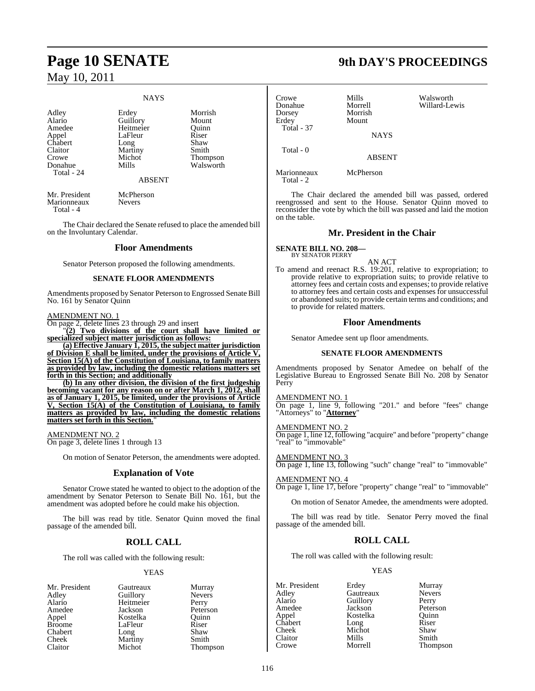# **Page 10 SENATE 9th DAY'S PROCEEDINGS** May 10, 2011

#### NAYS

Adley Erdey Morrish<br>Alario Guillory Mount Alario Guillory Mount Appel LaFleur Riser<br>Chabert Long Shaw Chabert Long Shaw<br>Claitor Martiny Smith Crowe Michot Thompson<br>
Donahue Mills Walsworth Total - 24

Heitmeier Quinn<br>
LaFleur Riser Martiny<br>Michot

#### ABSENT

Walsworth

Mr. President McPherson<br>Marionneaux Nevers Marionneaux Total - 4

The Chair declared the Senate refused to place the amended bill on the Involuntary Calendar.

#### **Floor Amendments**

Senator Peterson proposed the following amendments.

#### **SENATE FLOOR AMENDMENTS**

Amendments proposed by Senator Peterson to Engrossed Senate Bill No. 161 by Senator Quinn

#### AMENDMENT NO. 1

On page 2, delete lines 23 through 29 and insert

"**(2) Two divisions of the court shall have limited or specialized subject matter jurisdiction as follows:**

**(a) Effective January 1, 2015, the subject matter jurisdiction of Division E shall be limited, under the provisions of Article V, Section 15(A) of the Constitution of Louisiana, to family matters as provided by law, including the domestic relations matters set forth in this Section; and additionally**

**(b) In any other division, the division of the first judgeship becoming vacant for any reason on or after March 1, 2012, shall as of January 1, 2015, be limited, under the provisions of Article V, Section 15(A) of the Constitution of Louisiana, to family matters as provided by law, including the domestic relations matters set forth in this Section.**"

AMENDMENT NO. 2

On page 3, delete lines 1 through 13

On motion of Senator Peterson, the amendments were adopted.

#### **Explanation of Vote**

Senator Crowe stated he wanted to object to the adoption of the amendment by Senator Peterson to Senate Bill No. 161, but the amendment was adopted before he could make his objection.

The bill was read by title. Senator Quinn moved the final passage of the amended bill.

#### **ROLL CALL**

The roll was called with the following result:

#### YEAS

| Gautreaux | Murray        |
|-----------|---------------|
|           | <b>Nevers</b> |
| Heitmeier | Perry         |
| Jackson   | Peterson      |
| Kostelka  | Ouinn         |
| LaFleur   | Riser         |
| Long      | Shaw          |
| Martiny   | Smith         |
| Michot    | Thompson      |
|           | Guillory      |

Crowe Mills Walsworth Donahue Morrell Willard-Lewis Dorsey Morrish Mount Total - 37 **NAYS**  Total - 0 ABSENT

Marionneaux McPherson Total - 2

The Chair declared the amended bill was passed, ordered reengrossed and sent to the House. Senator Quinn moved to reconsider the vote by which the bill was passed and laid the motion on the table.

#### **Mr. President in the Chair**

**SENATE BILL NO. 208—** BY SENATOR PERRY

AN ACT

To amend and reenact R.S. 19:201, relative to expropriation; to provide relative to expropriation suits; to provide relative to attorney fees and certain costs and expenses; to provide relative to attorney fees and certain costs and expenses for unsuccessful or abandoned suits; to provide certain terms and conditions; and to provide for related matters.

#### **Floor Amendments**

Senator Amedee sent up floor amendments.

#### **SENATE FLOOR AMENDMENTS**

Amendments proposed by Senator Amedee on behalf of the Legislative Bureau to Engrossed Senate Bill No. 208 by Senator Perry

#### AMENDMENT NO. 1

On page 1, line 9, following "201." and before "fees" change "Attorneys" to "**Attorney**"

#### AMENDMENT NO. 2

On page 1, line 12, following "acquire" and before "property" change "real" to "immovable"

## On page 1, line 13, following "such" change "real" to "immovable"

#### AMENDMENT NO. 4

AMENDMENT NO. 3

On page 1, line 17, before "property" change "real" to "immovable"

On motion of Senator Amedee, the amendments were adopted.

The bill was read by title. Senator Perry moved the final passage of the amended bill.

#### **ROLL CALL**

The roll was called with the following result:

#### YEAS

Adley Gautreaux Nevers Alario Guillory<br>Amedee Jackson Amedee Jackson Peterson<br>Appel Kostelka Quinn Chabert Long Riser<br>Cheek Michot Shaw Claitor Mills<br>Crowe Morrell

Mr. President Erdey Murray Kostelka Quinn<br>Long Riser Michot Shaw<br>
Mills Smith Thompson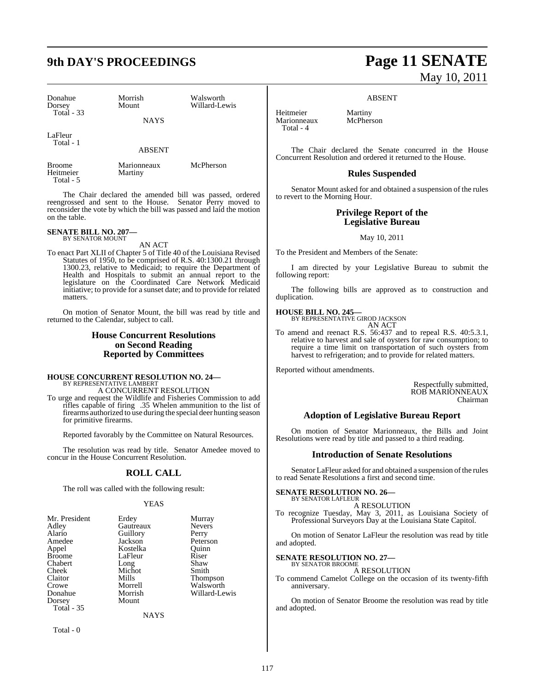| Donahue<br>Dorsey<br>Total $-33$                                                                                                                                                                                                                                                                                                  | Morrish<br>Mount                                                                                   | Walsworth<br>Willard-Lewis                                                                                                        | Heitmeier                                             | ABSENT<br>Martiny                                                                                                                                                   |
|-----------------------------------------------------------------------------------------------------------------------------------------------------------------------------------------------------------------------------------------------------------------------------------------------------------------------------------|----------------------------------------------------------------------------------------------------|-----------------------------------------------------------------------------------------------------------------------------------|-------------------------------------------------------|---------------------------------------------------------------------------------------------------------------------------------------------------------------------|
| LaFleur                                                                                                                                                                                                                                                                                                                           | <b>NAYS</b>                                                                                        |                                                                                                                                   | Marionneaux<br>Total - 4                              | McPherson                                                                                                                                                           |
| Total - 1                                                                                                                                                                                                                                                                                                                         | <b>ABSENT</b>                                                                                      |                                                                                                                                   |                                                       | The Chair declared the Senate c<br>Concurrent Resolution and ordered it retu                                                                                        |
| <b>Broome</b><br>Heitmeier<br>Total - 5                                                                                                                                                                                                                                                                                           | Marionneaux<br>Martiny                                                                             | McPherson                                                                                                                         |                                                       | <b>Rules Suspende</b>                                                                                                                                               |
|                                                                                                                                                                                                                                                                                                                                   |                                                                                                    | The Chair declared the amended bill was passed, ordered                                                                           | to revert to the Morning Hour.                        | Senator Mount asked for and obtained                                                                                                                                |
| reengrossed and sent to the House. Senator Perry moved to<br>reconsider the vote by which the bill was passed and laid the motion<br>on the table.                                                                                                                                                                                |                                                                                                    |                                                                                                                                   | <b>Privilege Report of</b><br><b>Legislative Bure</b> |                                                                                                                                                                     |
| <b>SENATE BILL NO. 207-</b><br><b>BY SENATOR MOUNT</b>                                                                                                                                                                                                                                                                            |                                                                                                    |                                                                                                                                   |                                                       | May 10, 2011                                                                                                                                                        |
|                                                                                                                                                                                                                                                                                                                                   | AN ACT                                                                                             | To enact Part XLII of Chapter 5 of Title 40 of the Louisiana Revised                                                              |                                                       | To the President and Members of the Sena                                                                                                                            |
| Statutes of 1950, to be comprised of R.S. 40:1300.21 through<br>1300.23, relative to Medicaid; to require the Department of<br>Health and Hospitals to submit an annual report to the<br>legislature on the Coordinated Care Network Medicaid<br>initiative; to provide for a sunset date; and to provide for related<br>matters. |                                                                                                    | following report:                                                                                                                 | I am directed by your Legislative                     |                                                                                                                                                                     |
|                                                                                                                                                                                                                                                                                                                                   |                                                                                                    | duplication.                                                                                                                      | The following bills are approved                      |                                                                                                                                                                     |
|                                                                                                                                                                                                                                                                                                                                   | returned to the Calendar, subject to call.                                                         | On motion of Senator Mount, the bill was read by title and                                                                        | <b>HOUSE BILL NO. 245-</b>                            | BY REPRESENTATIVE GIROD JACKSON<br>AN ACT                                                                                                                           |
|                                                                                                                                                                                                                                                                                                                                   | <b>House Concurrent Resolutions</b><br>on Second Reading<br><b>Reported by Committees</b>          |                                                                                                                                   |                                                       | To amend and reenact R.S. 56:437 and<br>relative to harvest and sale of oysters<br>require a time limit on transportati<br>harvest to refrigeration; and to provide |
|                                                                                                                                                                                                                                                                                                                                   |                                                                                                    |                                                                                                                                   | Reported without amendments.                          |                                                                                                                                                                     |
|                                                                                                                                                                                                                                                                                                                                   | <b>HOUSE CONCURRENT RESOLUTION NO. 24-</b><br>BY REPRESENTATIVE LAMBERT<br>A CONCURRENT RESOLUTION |                                                                                                                                   |                                                       |                                                                                                                                                                     |
|                                                                                                                                                                                                                                                                                                                                   |                                                                                                    | To urge and request the Wildlife and Fisheries Commission to add<br>rifles capable of firing .35 Whelen ammunition to the list of |                                                       |                                                                                                                                                                     |
| for primitive firearms.                                                                                                                                                                                                                                                                                                           |                                                                                                    | firearms authorized to use during the special deer hunting season                                                                 |                                                       | <b>Adoption of Legislative Bu</b>                                                                                                                                   |
|                                                                                                                                                                                                                                                                                                                                   |                                                                                                    | Reported favorably by the Committee on Natural Resources.                                                                         |                                                       | On motion of Senator Marionnea<br>Resolutions were read by title and passed                                                                                         |
|                                                                                                                                                                                                                                                                                                                                   | concur in the House Concurrent Resolution.                                                         | The resolution was read by title. Senator Amedee moved to                                                                         |                                                       | <b>Introduction of Senate I</b>                                                                                                                                     |
|                                                                                                                                                                                                                                                                                                                                   |                                                                                                    |                                                                                                                                   |                                                       |                                                                                                                                                                     |

#### **ROLL CALL**

The roll was called with the following result:

#### YEAS

| Mr. President     | Erdey     | Murray          |
|-------------------|-----------|-----------------|
| Adley             | Gautreaux | <b>Nevers</b>   |
| Alario            | Guillory  | Perry           |
| Amedee            | Jackson   | Peterson        |
| Appel             | Kostelka  | Ouinn           |
| <b>Broome</b>     | LaFleur   | Riser           |
| Chabert           | Long      | Shaw            |
| Cheek             | Michot    | Smith           |
| Claitor           | Mills     | <b>Thompson</b> |
| Crowe             | Morrell   | Walsworth       |
| Donahue           | Morrish   | Willard-Lewis   |
| Dorsey            | Mount     |                 |
| <b>Total - 35</b> |           |                 |
|                   | NAYS      |                 |

Total - 0

# **9th DAY'S PROCEEDINGS Page 11 SENATE** May 10, 2011

#### ABSENT

the Senate concurred in the House ordered it returned to the House.

#### es Suspended

or and obtained a suspension of the rules to revert to the Morning Hour.

#### **Privilege Report of the Legislative Bureau**

ers of the Senate:

ur Legislative Bureau to submit the

are approved as to construction and

. 56:437 and to repeal R.S. 40:5.3.1, sale of oysters for raw consumption; to in transportation of such oysters from ; and to provide for related matters.

Respectfully submitted, ROB MARIONNEAUX Chairman

#### **Adoption of Legislative Bureau Report**

or Marionneaux, the Bills and Joint tle and passed to a third reading.

#### **Introduction of Senate Resolutions**

Senator LaFleur asked for and obtained a suspension of the rules to read Senate Resolutions a first and second time.

#### **SENATE RESOLUTION NO. 26—** BY SENATOR LAFLEUR

A RESOLUTION

To recognize Tuesday, May 3, 2011, as Louisiana Society of Professional Surveyors Day at the Louisiana State Capitol.

On motion of Senator LaFleur the resolution was read by title and adopted.

## **SENATE RESOLUTION NO. 27—** BY SENATOR BROOME

A RESOLUTION

To commend Camelot College on the occasion of its twenty-fifth anniversary.

On motion of Senator Broome the resolution was read by title and adopted.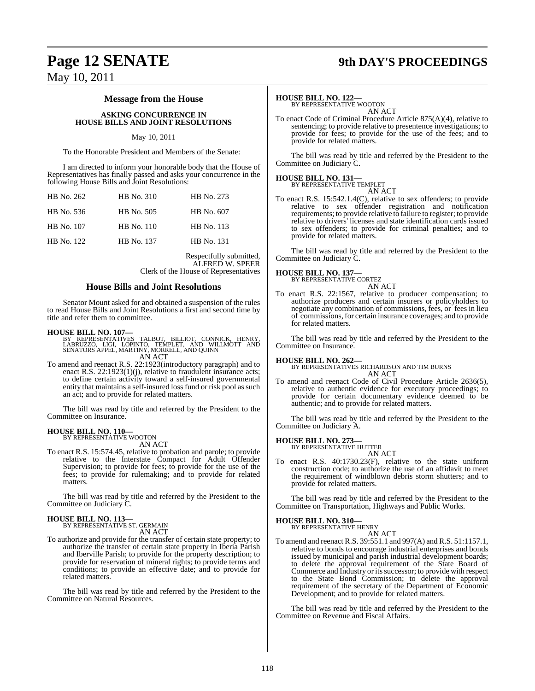## **Page 12 SENATE 9th DAY'S PROCEEDINGS**

May 10, 2011

#### **Message from the House**

#### **ASKING CONCURRENCE IN HOUSE BILLS AND JOINT RESOLUTIONS**

#### May 10, 2011

To the Honorable President and Members of the Senate:

I am directed to inform your honorable body that the House of Representatives has finally passed and asks your concurrence in the following House Bills and Joint Resolutions:

| HB No. 310 | HB No. 273 |
|------------|------------|
| HB No. 505 | HB No. 607 |
| HB No. 110 | HB No. 113 |
| HB No. 137 | HB No. 131 |
|            |            |

Respectfully submitted, ALFRED W. SPEER Clerk of the House of Representatives

#### **House Bills and Joint Resolutions**

Senator Mount asked for and obtained a suspension of the rules to read House Bills and Joint Resolutions a first and second time by title and refer them to committee.

- **HOUSE BILL NO. 107—**<br>BY REPRESENTATIVES TALBOT, BILLIOT, CONNICK, HENRY,<br>LABRUZZO, LIGI, LOPINTO, TEMPLET, AND WILLMOTT AND<br>SENATORS APPEL, MARTINY, MORRELL, AND QUINN AN ACT
- To amend and reenact R.S. 22:1923(introductory paragraph) and to enact R.S. 22:1923(1)(j), relative to fraudulent insurance acts; to define certain activity toward a self-insured governmental entity that maintains a self-insured loss fund or risk pool as such an act; and to provide for related matters.

The bill was read by title and referred by the President to the Committee on Insurance.

# **HOUSE BILL NO. 110—** BY REPRESENTATIVE WOOTON

AN ACT

To enact R.S. 15:574.45, relative to probation and parole; to provide relative to the Interstate Compact for Adult Offender Supervision; to provide for fees; to provide for the use of the fees; to provide for rulemaking; and to provide for related matters.

The bill was read by title and referred by the President to the Committee on Judiciary C.

## **HOUSE BILL NO. 113—** BY REPRESENTATIVE ST. GERMAIN

AN ACT

To authorize and provide for the transfer of certain state property; to authorize the transfer of certain state property in Iberia Parish and Iberville Parish; to provide for the property description; to provide for reservation of mineral rights; to provide terms and conditions; to provide an effective date; and to provide for related matters.

The bill was read by title and referred by the President to the Committee on Natural Resources.

#### **HOUSE BILL NO. 122—**

BY REPRESENTATIVE WOOTON AN ACT

To enact Code of Criminal Procedure Article 875(A)(4), relative to sentencing; to provide relative to presentence investigations; to provide for fees; to provide for the use of the fees; and to provide for related matters.

The bill was read by title and referred by the President to the Committee on Judiciary C.

## **HOUSE BILL NO. 131—** BY REPRESENTATIVE TEMPLET

AN ACT

To enact R.S. 15:542.1.4(C), relative to sex offenders; to provide relative to sex offender registration and notification requirements; to provide relative to failure to register; to provide relative to drivers' licenses and state identification cards issued to sex offenders; to provide for criminal penalties; and to provide for related matters.

The bill was read by title and referred by the President to the Committee on Judiciary C.

#### **HOUSE BILL NO. 137—**

BY REPRESENTATIVE CORTEZ AN ACT

To enact R.S. 22:1567, relative to producer compensation; to authorize producers and certain insurers or policyholders to negotiate any combination of commissions, fees, or fees in lieu of commissions, for certain insurance coverages; and to provide for related matters.

The bill was read by title and referred by the President to the Committee on Insurance.

#### **HOUSE BILL NO. 262—**

BY REPRESENTATIVES RICHARDSON AND TIM BURNS AN ACT

To amend and reenact Code of Civil Procedure Article 2636(5), relative to authentic evidence for executory proceedings; to provide for certain documentary evidence deemed to be authentic; and to provide for related matters.

The bill was read by title and referred by the President to the Committee on Judiciary A.

#### **HOUSE BILL NO. 273—**

BY REPRESENTATIVE HUTTER AN ACT

To enact R.S. 40:1730.23(F), relative to the state uniform construction code; to authorize the use of an affidavit to meet the requirement of windblown debris storm shutters; and to provide for related matters.

The bill was read by title and referred by the President to the Committee on Transportation, Highways and Public Works.

## **HOUSE BILL NO. 310—** BY REPRESENTATIVE HENRY

AN ACT To amend and reenact R.S. 39:551.1 and 997(A) and R.S. 51:1157.1, relative to bonds to encourage industrial enterprises and bonds issued by municipal and parish industrial development boards; to delete the approval requirement of the State Board of Commerce and Industry or its successor; to provide with respect to the State Bond Commission; to delete the approval requirement of the secretary of the Department of Economic Development; and to provide for related matters.

The bill was read by title and referred by the President to the Committee on Revenue and Fiscal Affairs.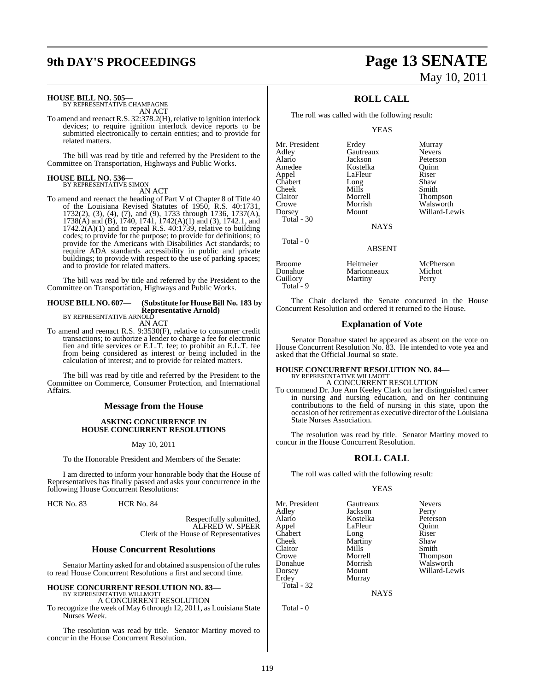#### **HOUSE BILL NO. 505—**

BY REPRESENTATIVE CHAMPAGNE AN ACT

To amend and reenact R.S. 32:378.2(H), relative to ignition interlock devices; to require ignition interlock device reports to be submitted electronically to certain entities; and to provide for related matters.

The bill was read by title and referred by the President to the Committee on Transportation, Highways and Public Works.

#### **HOUSE BILL NO. 536—** BY REPRESENTATIVE SIMON

AN ACT

To amend and reenact the heading of Part V of Chapter 8 of Title 40 of the Louisiana Revised Statutes of 1950, R.S. 40:1731, 1732(2), (3), (4), (7), and (9), 1733 through 1736, 1737(A), 1738(A) and (B), 1740, 1741, 1742(A)(1) and (3), 1742.1, and  $1742.2(A)(1)$  and to repeal R.S.  $40.1739$ , relative to building codes; to provide for the purpose; to provide for definitions; to provide for the Americans with Disabilities Act standards; to require ADA standards accessibility in public and private buildings; to provide with respect to the use of parking spaces; and to provide for related matters.

The bill was read by title and referred by the President to the Committee on Transportation, Highways and Public Works.

#### **HOUSE BILL NO. 607— (Substitute for House Bill No. 183 by Representative Arnold)** BY REPRESENTATIVE ARNOLD

AN ACT

To amend and reenact R.S. 9:3530(F), relative to consumer credit transactions; to authorize a lender to charge a fee for electronic lien and title services or E.L.T. fee; to prohibit an E.L.T. fee from being considered as interest or being included in the calculation of interest; and to provide for related matters.

The bill was read by title and referred by the President to the Committee on Commerce, Consumer Protection, and International **Affairs** 

#### **Message from the House**

#### **ASKING CONCURRENCE IN HOUSE CONCURRENT RESOLUTIONS**

May 10, 2011

To the Honorable President and Members of the Senate:

I am directed to inform your honorable body that the House of Representatives has finally passed and asks your concurrence in the following House Concurrent Resolutions:

HCR No. 83 HCR No. 84

Respectfully submitted, ALFRED W. SPEER Clerk of the House of Representatives

#### **House Concurrent Resolutions**

Senator Martiny asked for and obtained a suspension of the rules to read House Concurrent Resolutions a first and second time.

#### **HOUSE CONCURRENT RESOLUTION NO. 83—** BY REPRESENTATIVE WILLMOTT

A CONCURRENT RESOLUTION

To recognize the week of May 6 through 12, 2011, as Louisiana State Nurses Week.

The resolution was read by title. Senator Martiny moved to concur in the House Concurrent Resolution.

# **9th DAY'S PROCEEDINGS Page 13 SENATE** May 10, 2011

## **ROLL CALL**

The roll was called with the following result:

YEAS

Alario Jackson Peterson Amedee Kostelka Quinn Chabert Long<br>Cheek Mills Cheek Mills Smith<br>Claitor Morrell Thom

Total - 30

Total - 0

Mr. President Erdey Murray<br>Adley Gautreaux Nevers Gautreaux<br>Jackson LaFleur Riser<br>Long Shaw

Claitor Morrell Thompson Crowe Morrish Walsworth<br>
Dorsey Mount Willard-Le Willard-Lewis

**NAYS** 

#### ABSENT

| Broome     | Heitmeier   | McPherson |
|------------|-------------|-----------|
| Donahue    | Marionneaux | Michot    |
| Guillory   | Martiny     | Perry     |
| Total $-9$ |             |           |

The Chair declared the Senate concurred in the House Concurrent Resolution and ordered it returned to the House.

#### **Explanation of Vote**

Senator Donahue stated he appeared as absent on the vote on House Concurrent Resolution No. 83. He intended to vote yea and asked that the Official Journal so state.

# **HOUSE CONCURRENT RESOLUTION NO. 84—** BY REPRESENTATIVE WILLMOTT A CONCURRENT RESOLUTION

To commend Dr. Joe Ann Keeley Clark on her distinguished career in nursing and nursing education, and on her continuing contributions to the field of nursing in this state, upon the occasion of her retirement as executive director of the Louisiana State Nurses Association.

The resolution was read by title. Senator Martiny moved to concur in the House Concurrent Resolution.

## **ROLL CALL**

The roll was called with the following result:

#### YEAS

Mr. President Gautreaux Nevers<br>Adley Jackson Perry Adley Jackson Perry Appel LaFleur Quinn<br>Chabert Long Riser Chabert Long Riser<br>Cheek Martiny Shaw Claitor Mills<br>Crowe Morrell Crowe Morrell Thompson Donahue Morrish Walsworth<br>
Dorsey Mount Willard-Le Erdey Murray Total - 32

Kostelka Martiny Shaw<br>Mills Smith

Willard-Lewis

NAYS

Total - 0